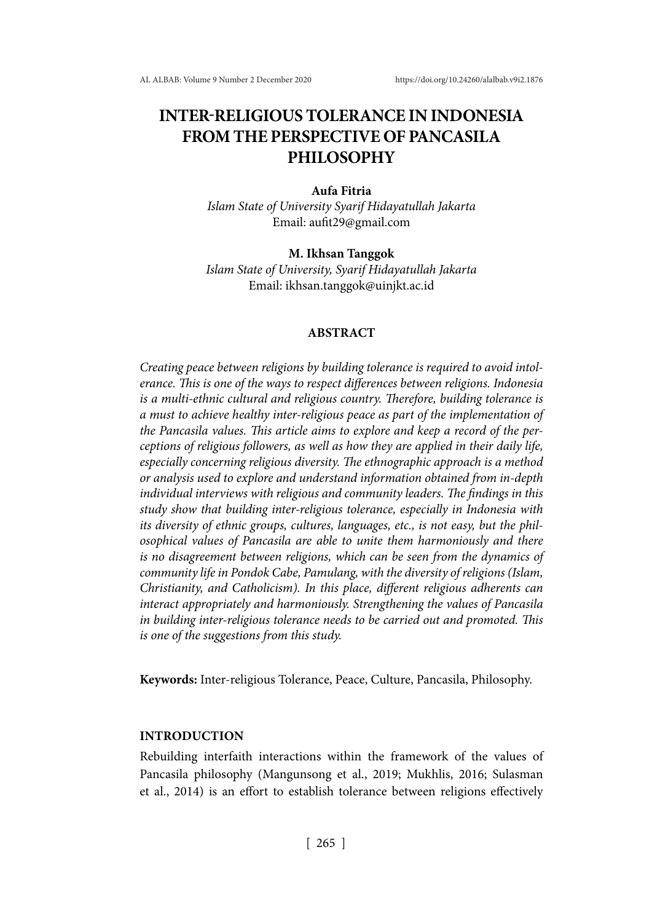# **INTER-RELIGIOUS TOLERANCE IN INDONESIA FROM THE PERSPECTIVE OF PANCASILA PHILOSOPHY**

#### **Aufa Fitria**

*Islam State of University Syarif Hidayatullah Jakarta*  Email: aufit29@gmail.com

#### **M. Ikhsan Tanggok**

*Islam State of University, Syarif Hidayatullah Jakarta* Email: ikhsan.tanggok@uinjkt.ac.id

## **ABSTRACT**

*Creating peace between religions by building tolerance is required to avoid intolerance. This is one of the ways to respect differences between religions. Indonesia is a multi-ethnic cultural and religious country. Therefore, building tolerance is a must to achieve healthy inter-religious peace as part of the implementation of the Pancasila values. This article aims to explore and keep a record of the perceptions of religious followers, as well as how they are applied in their daily life, especially concerning religious diversity. The ethnographic approach is a method or analysis used to explore and understand information obtained from in-depth individual interviews with religious and community leaders. The findings in this study show that building inter-religious tolerance, especially in Indonesia with its diversity of ethnic groups, cultures, languages, etc., is not easy, but the philosophical values of Pancasila are able to unite them harmoniously and there is no disagreement between religions, which can be seen from the dynamics of community life in Pondok Cabe, Pamulang, with the diversity of religions (Islam, Christianity, and Catholicism). In this place, different religious adherents can interact appropriately and harmoniously. Strengthening the values of Pancasila in building inter-religious tolerance needs to be carried out and promoted. This is one of the suggestions from this study.*

**Keywords:** Inter-religious Tolerance, Peace, Culture, Pancasila, Philosophy.

# **INTRODUCTION**

Rebuilding interfaith interactions within the framework of the values of Pancasila philosophy (Mangunsong et al., 2019; Mukhlis, 2016; Sulasman et al., 2014) is an effort to establish tolerance between religions effectively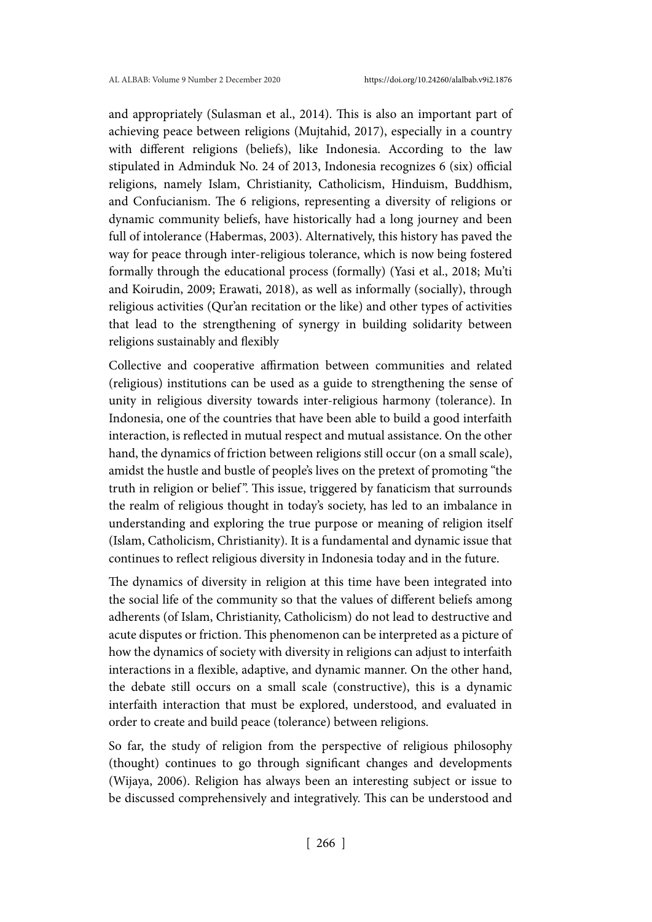and appropriately (Sulasman et al., 2014). This is also an important part of achieving peace between religions (Mujtahid, 2017), especially in a country with different religions (beliefs), like Indonesia. According to the law stipulated in Adminduk No. 24 of 2013, Indonesia recognizes 6 (six) official religions, namely Islam, Christianity, Catholicism, Hinduism, Buddhism, and Confucianism. The 6 religions, representing a diversity of religions or dynamic community beliefs, have historically had a long journey and been full of intolerance (Habermas, 2003). Alternatively, this history has paved the way for peace through inter-religious tolerance, which is now being fostered formally through the educational process (formally) (Yasi et al., 2018; Mu'ti and Koirudin, 2009; Erawati, 2018), as well as informally (socially), through religious activities (Qur'an recitation or the like) and other types of activities that lead to the strengthening of synergy in building solidarity between religions sustainably and flexibly

Collective and cooperative affirmation between communities and related (religious) institutions can be used as a guide to strengthening the sense of unity in religious diversity towards inter-religious harmony (tolerance). In Indonesia, one of the countries that have been able to build a good interfaith interaction, is reflected in mutual respect and mutual assistance. On the other hand, the dynamics of friction between religions still occur (on a small scale), amidst the hustle and bustle of people's lives on the pretext of promoting "the truth in religion or belief". This issue, triggered by fanaticism that surrounds the realm of religious thought in today's society, has led to an imbalance in understanding and exploring the true purpose or meaning of religion itself (Islam, Catholicism, Christianity). It is a fundamental and dynamic issue that continues to reflect religious diversity in Indonesia today and in the future.

The dynamics of diversity in religion at this time have been integrated into the social life of the community so that the values of different beliefs among adherents (of Islam, Christianity, Catholicism) do not lead to destructive and acute disputes or friction. This phenomenon can be interpreted as a picture of how the dynamics of society with diversity in religions can adjust to interfaith interactions in a flexible, adaptive, and dynamic manner. On the other hand, the debate still occurs on a small scale (constructive), this is a dynamic interfaith interaction that must be explored, understood, and evaluated in order to create and build peace (tolerance) between religions.

So far, the study of religion from the perspective of religious philosophy (thought) continues to go through significant changes and developments (Wijaya, 2006). Religion has always been an interesting subject or issue to be discussed comprehensively and integratively. This can be understood and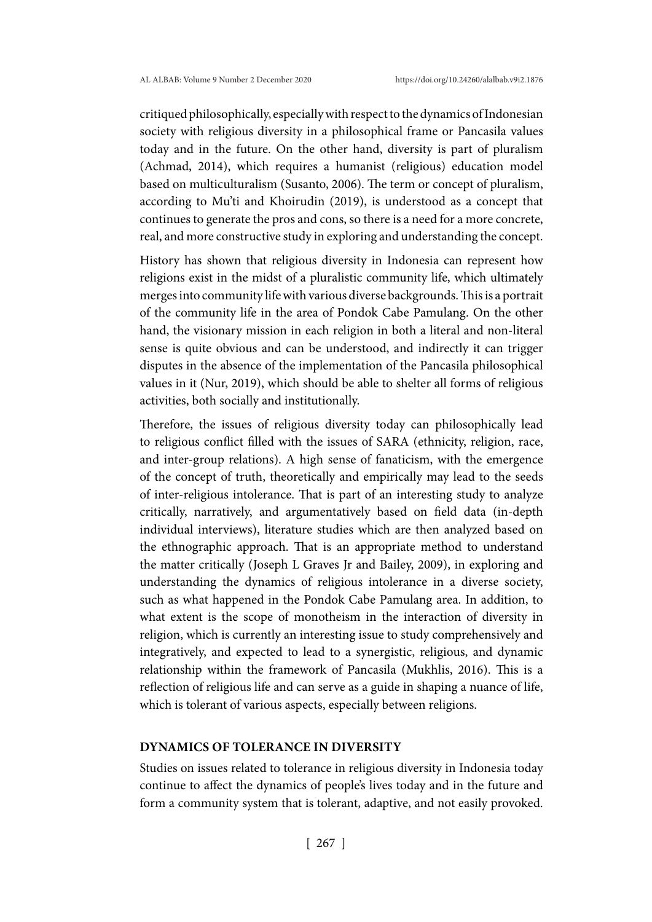critiqued philosophically, especially with respect to the dynamics of Indonesian society with religious diversity in a philosophical frame or Pancasila values today and in the future. On the other hand, diversity is part of pluralism (Achmad, 2014), which requires a humanist (religious) education model based on multiculturalism (Susanto, 2006). The term or concept of pluralism, according to Mu'ti and Khoirudin (2019), is understood as a concept that continues to generate the pros and cons, so there is a need for a more concrete, real, and more constructive study in exploring and understanding the concept.

History has shown that religious diversity in Indonesia can represent how religions exist in the midst of a pluralistic community life, which ultimately merges into community life with various diverse backgrounds. This is a portrait of the community life in the area of Pondok Cabe Pamulang. On the other hand, the visionary mission in each religion in both a literal and non-literal sense is quite obvious and can be understood, and indirectly it can trigger disputes in the absence of the implementation of the Pancasila philosophical values in it (Nur, 2019), which should be able to shelter all forms of religious activities, both socially and institutionally.

Therefore, the issues of religious diversity today can philosophically lead to religious conflict filled with the issues of SARA (ethnicity, religion, race, and inter-group relations). A high sense of fanaticism, with the emergence of the concept of truth, theoretically and empirically may lead to the seeds of inter-religious intolerance. That is part of an interesting study to analyze critically, narratively, and argumentatively based on field data (in-depth individual interviews), literature studies which are then analyzed based on the ethnographic approach. That is an appropriate method to understand the matter critically (Joseph L Graves Jr and Bailey, 2009), in exploring and understanding the dynamics of religious intolerance in a diverse society, such as what happened in the Pondok Cabe Pamulang area. In addition, to what extent is the scope of monotheism in the interaction of diversity in religion, which is currently an interesting issue to study comprehensively and integratively, and expected to lead to a synergistic, religious, and dynamic relationship within the framework of Pancasila (Mukhlis, 2016). This is a reflection of religious life and can serve as a guide in shaping a nuance of life, which is tolerant of various aspects, especially between religions.

#### **DYNAMICS OF TOLERANCE IN DIVERSITY**

Studies on issues related to tolerance in religious diversity in Indonesia today continue to affect the dynamics of people's lives today and in the future and form a community system that is tolerant, adaptive, and not easily provoked.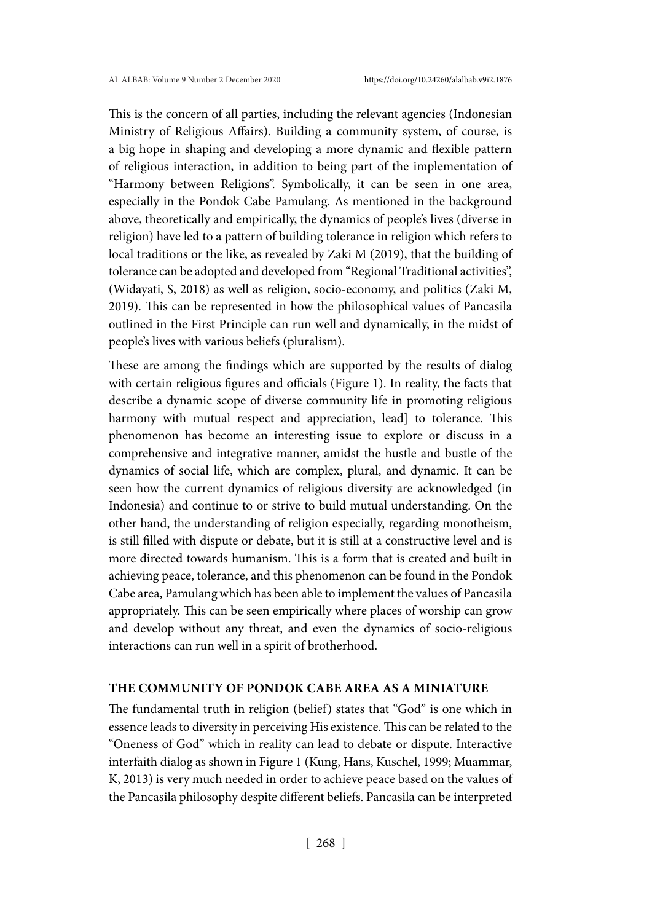This is the concern of all parties, including the relevant agencies (Indonesian Ministry of Religious Affairs). Building a community system, of course, is a big hope in shaping and developing a more dynamic and flexible pattern of religious interaction, in addition to being part of the implementation of "Harmony between Religions". Symbolically, it can be seen in one area, especially in the Pondok Cabe Pamulang. As mentioned in the background above, theoretically and empirically, the dynamics of people's lives (diverse in religion) have led to a pattern of building tolerance in religion which refers to local traditions or the like, as revealed by Zaki M (2019), that the building of tolerance can be adopted and developed from "Regional Traditional activities", (Widayati, S, 2018) as well as religion, socio-economy, and politics (Zaki M, 2019). This can be represented in how the philosophical values of Pancasila outlined in the First Principle can run well and dynamically, in the midst of people's lives with various beliefs (pluralism).

These are among the findings which are supported by the results of dialog with certain religious figures and officials (Figure 1). In reality, the facts that describe a dynamic scope of diverse community life in promoting religious harmony with mutual respect and appreciation, lead to tolerance. This phenomenon has become an interesting issue to explore or discuss in a comprehensive and integrative manner, amidst the hustle and bustle of the dynamics of social life, which are complex, plural, and dynamic. It can be seen how the current dynamics of religious diversity are acknowledged (in Indonesia) and continue to or strive to build mutual understanding. On the other hand, the understanding of religion especially, regarding monotheism, is still filled with dispute or debate, but it is still at a constructive level and is more directed towards humanism. This is a form that is created and built in achieving peace, tolerance, and this phenomenon can be found in the Pondok Cabe area, Pamulang which has been able to implement the values of Pancasila appropriately. This can be seen empirically where places of worship can grow and develop without any threat, and even the dynamics of socio-religious interactions can run well in a spirit of brotherhood.

## **THE COMMUNITY OF PONDOK CABE AREA AS A MINIATURE**

The fundamental truth in religion (belief) states that "God" is one which in essence leads to diversity in perceiving His existence. This can be related to the "Oneness of God" which in reality can lead to debate or dispute. Interactive interfaith dialog as shown in Figure 1 (Kung, Hans, Kuschel, 1999; Muammar, K, 2013) is very much needed in order to achieve peace based on the values of the Pancasila philosophy despite different beliefs. Pancasila can be interpreted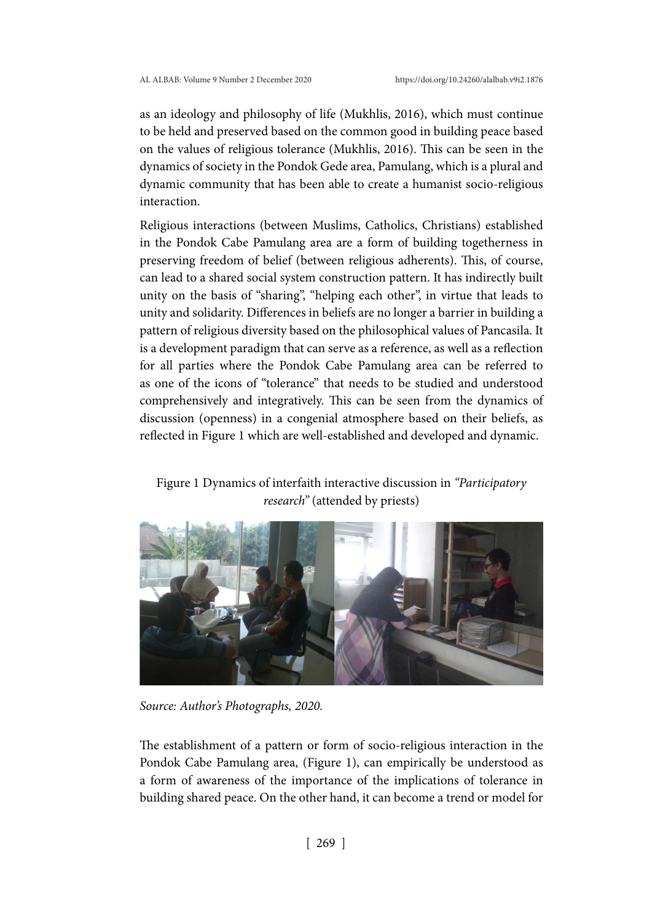as an ideology and philosophy of life (Mukhlis, 2016), which must continue to be held and preserved based on the common good in building peace based on the values of religious tolerance (Mukhlis, 2016). This can be seen in the dynamics of society in the Pondok Gede area, Pamulang, which is a plural and dynamic community that has been able to create a humanist socio-religious interaction.

Religious interactions (between Muslims, Catholics, Christians) established in the Pondok Cabe Pamulang area are a form of building togetherness in preserving freedom of belief (between religious adherents). This, of course, can lead to a shared social system construction pattern. It has indirectly built unity on the basis of "sharing", "helping each other", in virtue that leads to unity and solidarity. Differences in beliefs are no longer a barrier in building a pattern of religious diversity based on the philosophical values of Pancasila. It is a development paradigm that can serve as a reference, as well as a reflection for all parties where the Pondok Cabe Pamulang area can be referred to as one of the icons of "tolerance" that needs to be studied and understood comprehensively and integratively. This can be seen from the dynamics of discussion (openness) in a congenial atmosphere based on their beliefs, as reflected in Figure 1 which are well-established and developed and dynamic.

# Figure 1 Dynamics of interfaith interactive discussion in *"Participatory research"* (attended by priests)



*Source: Author's Photographs, 2020.*

The establishment of a pattern or form of socio-religious interaction in the Pondok Cabe Pamulang area, (Figure 1), can empirically be understood as a form of awareness of the importance of the implications of tolerance in building shared peace. On the other hand, it can become a trend or model for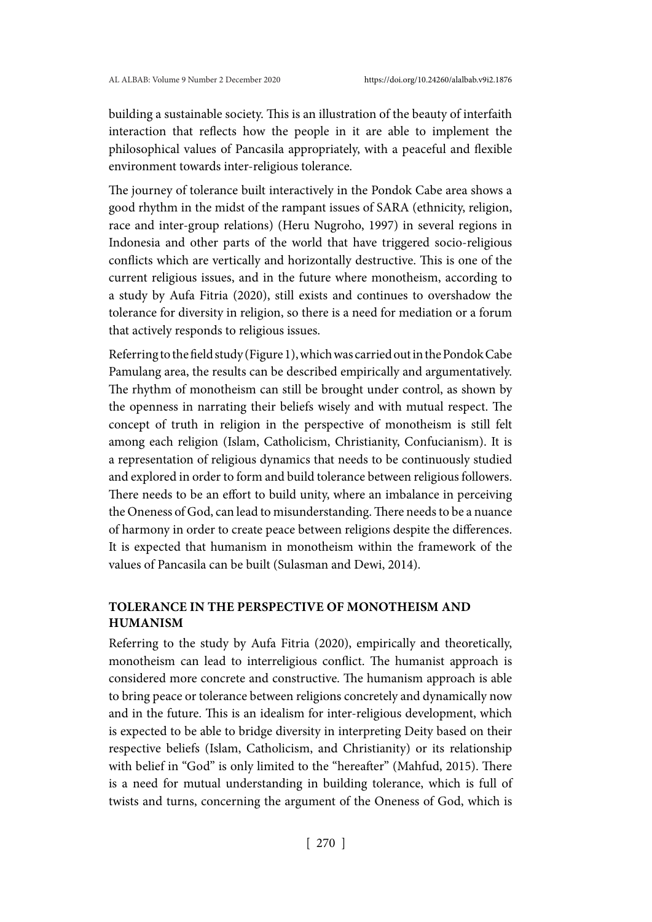building a sustainable society. This is an illustration of the beauty of interfaith interaction that reflects how the people in it are able to implement the philosophical values of Pancasila appropriately, with a peaceful and flexible environment towards inter-religious tolerance.

The journey of tolerance built interactively in the Pondok Cabe area shows a good rhythm in the midst of the rampant issues of SARA (ethnicity, religion, race and inter-group relations) (Heru Nugroho, 1997) in several regions in Indonesia and other parts of the world that have triggered socio-religious conflicts which are vertically and horizontally destructive. This is one of the current religious issues, and in the future where monotheism, according to a study by Aufa Fitria (2020), still exists and continues to overshadow the tolerance for diversity in religion, so there is a need for mediation or a forum that actively responds to religious issues.

Referring to the field study (Figure 1), which was carried out in the Pondok Cabe Pamulang area, the results can be described empirically and argumentatively. The rhythm of monotheism can still be brought under control, as shown by the openness in narrating their beliefs wisely and with mutual respect. The concept of truth in religion in the perspective of monotheism is still felt among each religion (Islam, Catholicism, Christianity, Confucianism). It is a representation of religious dynamics that needs to be continuously studied and explored in order to form and build tolerance between religious followers. There needs to be an effort to build unity, where an imbalance in perceiving the Oneness of God, can lead to misunderstanding. There needs to be a nuance of harmony in order to create peace between religions despite the differences. It is expected that humanism in monotheism within the framework of the values of Pancasila can be built (Sulasman and Dewi, 2014).

# **TOLERANCE IN THE PERSPECTIVE OF MONOTHEISM AND HUMANISM**

Referring to the study by Aufa Fitria (2020), empirically and theoretically, monotheism can lead to interreligious conflict. The humanist approach is considered more concrete and constructive. The humanism approach is able to bring peace or tolerance between religions concretely and dynamically now and in the future. This is an idealism for inter-religious development, which is expected to be able to bridge diversity in interpreting Deity based on their respective beliefs (Islam, Catholicism, and Christianity) or its relationship with belief in "God" is only limited to the "hereafter" (Mahfud, 2015). There is a need for mutual understanding in building tolerance, which is full of twists and turns, concerning the argument of the Oneness of God, which is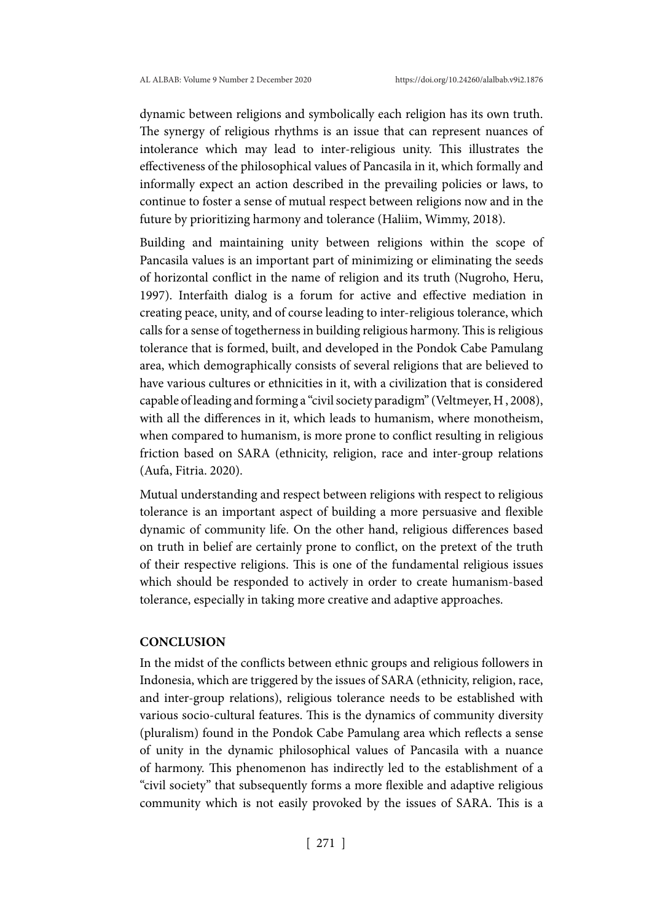dynamic between religions and symbolically each religion has its own truth. The synergy of religious rhythms is an issue that can represent nuances of intolerance which may lead to inter-religious unity. This illustrates the effectiveness of the philosophical values of Pancasila in it, which formally and informally expect an action described in the prevailing policies or laws, to continue to foster a sense of mutual respect between religions now and in the future by prioritizing harmony and tolerance (Haliim, Wimmy, 2018).

Building and maintaining unity between religions within the scope of Pancasila values is an important part of minimizing or eliminating the seeds of horizontal conflict in the name of religion and its truth (Nugroho, Heru, 1997). Interfaith dialog is a forum for active and effective mediation in creating peace, unity, and of course leading to inter-religious tolerance, which calls for a sense of togetherness in building religious harmony. This is religious tolerance that is formed, built, and developed in the Pondok Cabe Pamulang area, which demographically consists of several religions that are believed to have various cultures or ethnicities in it, with a civilization that is considered capable of leading and forming a "civil society paradigm" (Veltmeyer, H , 2008), with all the differences in it, which leads to humanism, where monotheism, when compared to humanism, is more prone to conflict resulting in religious friction based on SARA (ethnicity, religion, race and inter-group relations (Aufa, Fitria. 2020).

Mutual understanding and respect between religions with respect to religious tolerance is an important aspect of building a more persuasive and flexible dynamic of community life. On the other hand, religious differences based on truth in belief are certainly prone to conflict, on the pretext of the truth of their respective religions. This is one of the fundamental religious issues which should be responded to actively in order to create humanism-based tolerance, especially in taking more creative and adaptive approaches.

#### **CONCLUSION**

In the midst of the conflicts between ethnic groups and religious followers in Indonesia, which are triggered by the issues of SARA (ethnicity, religion, race, and inter-group relations), religious tolerance needs to be established with various socio-cultural features. This is the dynamics of community diversity (pluralism) found in the Pondok Cabe Pamulang area which reflects a sense of unity in the dynamic philosophical values of Pancasila with a nuance of harmony. This phenomenon has indirectly led to the establishment of a "civil society" that subsequently forms a more flexible and adaptive religious community which is not easily provoked by the issues of SARA. This is a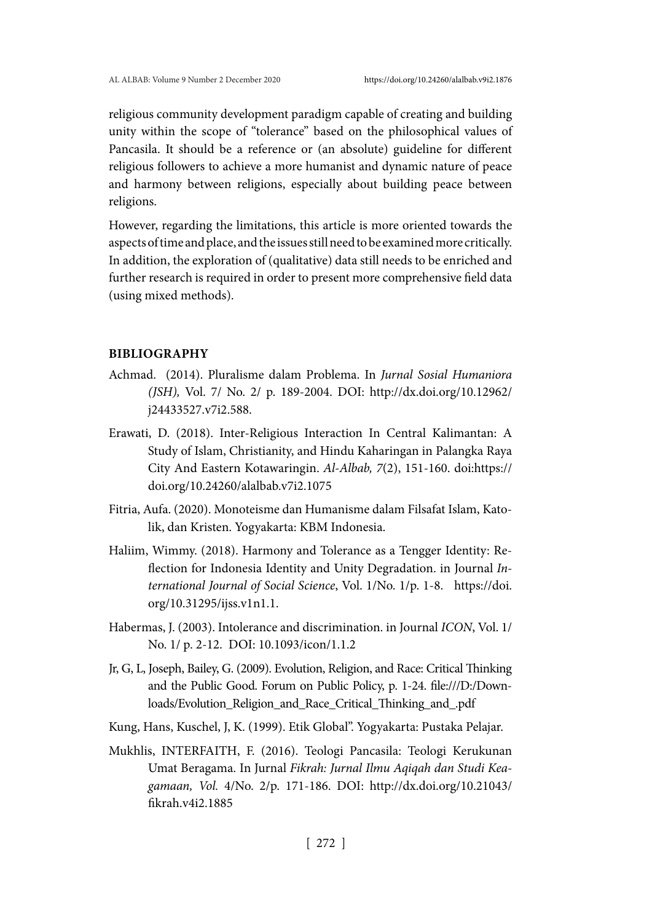religious community development paradigm capable of creating and building unity within the scope of "tolerance" based on the philosophical values of Pancasila. It should be a reference or (an absolute) guideline for different religious followers to achieve a more humanist and dynamic nature of peace and harmony between religions, especially about building peace between religions.

However, regarding the limitations, this article is more oriented towards the aspects of time and place, and the issues still need to be examined more critically. In addition, the exploration of (qualitative) data still needs to be enriched and further research is required in order to present more comprehensive field data (using mixed methods).

# **BIBLIOGRAPHY**

- Achmad. (2014). Pluralisme dalam Problema. In *Jurnal Sosial Humaniora (JSH),* Vol. 7/ No. 2/ p. 189-2004. DOI: http://dx.doi.org/10.12962/ j24433527.v7i2.588.
- Erawati, D. (2018). Inter-Religious Interaction In Central Kalimantan: A Study of Islam, Christianity, and Hindu Kaharingan in Palangka Raya City And Eastern Kotawaringin. *Al-Albab, 7*(2), 151-160. doi:https:// doi.org/10.24260/alalbab.v7i2.1075
- Fitria, Aufa. (2020). Monoteisme dan Humanisme dalam Filsafat Islam, Katolik, dan Kristen. Yogyakarta: KBM Indonesia.
- Haliim, Wimmy. (2018). Harmony and Tolerance as a Tengger Identity: Reflection for Indonesia Identity and Unity Degradation. in Journal *International Journal of Social Science*, Vol. 1/No. 1/p. 1-8. https://doi. org/10.31295/ijss.v1n1.1.
- Habermas, J. (2003). Intolerance and discrimination. in Journal *ICON*, Vol. 1/ No. 1/ p. 2-12. DOI: 10.1093/icon/1.1.2
- Jr, G, L, Joseph, Bailey, G. (2009). Evolution, Religion, and Race: Critical Thinking and the Public Good. Forum on Public Policy, p. 1-24. file:///D:/Downloads/Evolution\_Religion\_and\_Race\_Critical\_Thinking\_and\_.pdf
- Kung, Hans, Kuschel, J, K. (1999). Etik Global". Yogyakarta: Pustaka Pelajar.
- Mukhlis, INTERFAITH, F. (2016). Teologi Pancasila: Teologi Kerukunan Umat Beragama. In Jurnal *Fikrah: Jurnal Ilmu Aqiqah dan Studi Keagamaan, Vol.* 4/No. 2/p. 171-186. DOI: http://dx.doi.org/10.21043/ fikrah.v4i2.1885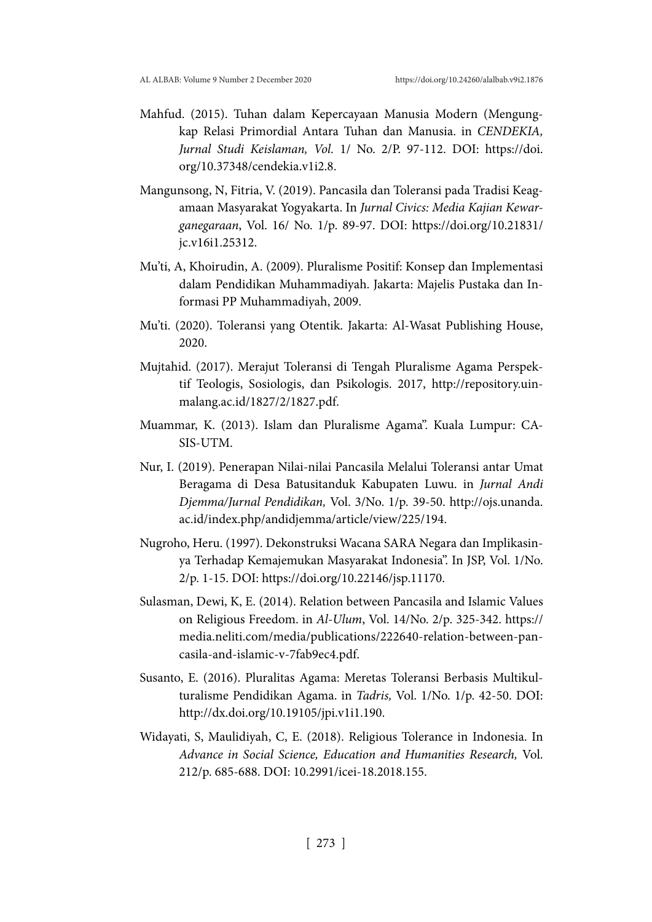- Mahfud. (2015). Tuhan dalam Kepercayaan Manusia Modern (Mengungkap Relasi Primordial Antara Tuhan dan Manusia. in *CENDEKIA, Jurnal Studi Keislaman, Vol.* 1/ No. 2/P. 97-112. DOI: https://doi. org/10.37348/cendekia.v1i2.8.
- Mangunsong, N, Fitria, V. (2019). Pancasila dan Toleransi pada Tradisi Keagamaan Masyarakat Yogyakarta. In *Jurnal Civics: Media Kajian Kewarganegaraan*, Vol. 16/ No. 1/p. 89-97. DOI: https://doi.org/10.21831/ jc.v16i1.25312.
- Mu'ti, A, Khoirudin, A. (2009). Pluralisme Positif: Konsep dan Implementasi dalam Pendidikan Muhammadiyah. Jakarta: Majelis Pustaka dan Informasi PP Muhammadiyah, 2009.
- Mu'ti. (2020). Toleransi yang Otentik. Jakarta: Al-Wasat Publishing House, 2020.
- Mujtahid. (2017). Merajut Toleransi di Tengah Pluralisme Agama Perspektif Teologis, Sosiologis, dan Psikologis. 2017, http://repository.uinmalang.ac.id/1827/2/1827.pdf.
- Muammar, K. (2013). Islam dan Pluralisme Agama". Kuala Lumpur: CA-SIS-UTM.
- Nur, I. (2019). Penerapan Nilai-nilai Pancasila Melalui Toleransi antar Umat Beragama di Desa Batusitanduk Kabupaten Luwu. in *Jurnal Andi Djemma/Jurnal Pendidikan,* Vol. 3/No. 1/p. 39-50. http://ojs.unanda. ac.id/index.php/andidjemma/article/view/225/194.
- Nugroho, Heru. (1997). Dekonstruksi Wacana SARA Negara dan Implikasinya Terhadap Kemajemukan Masyarakat Indonesia". In JSP, Vol. 1/No. 2/p. 1-15. DOI: https://doi.org/10.22146/jsp.11170.
- Sulasman, Dewi, K, E. (2014). Relation between Pancasila and Islamic Values on Religious Freedom. in *Al-Ulum*, Vol. 14/No. 2/p. 325-342. https:// media.neliti.com/media/publications/222640-relation-between-pancasila-and-islamic-v-7fab9ec4.pdf.
- Susanto, E. (2016). Pluralitas Agama: Meretas Toleransi Berbasis Multikulturalisme Pendidikan Agama. in *Tadris,* Vol. 1/No. 1/p. 42-50. DOI: http://dx.doi.org/10.19105/jpi.v1i1.190.
- Widayati, S, Maulidiyah, C, E. (2018). Religious Tolerance in Indonesia. In *Advance in Social Science, Education and Humanities Research,* Vol. 212/p. 685-688. DOI: 10.2991/icei-18.2018.155.